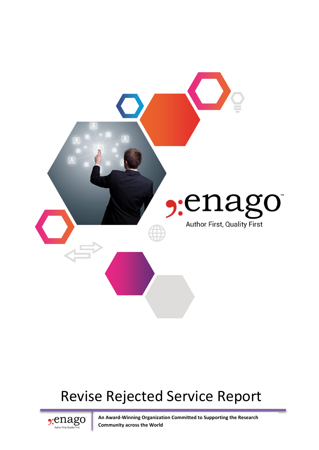

# Revise Rejected Service Report



**An Award-Winning Organization Committed to Supporting the Research Community across the World**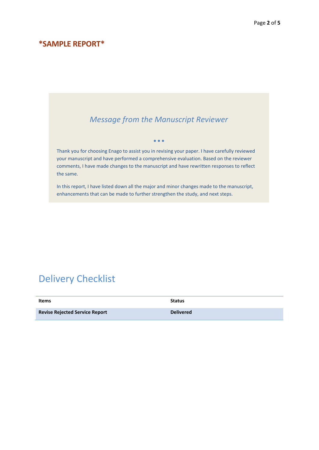#### **\*SAMPLE REPORT\***

#### *Message from the Manuscript Reviewer*

 $• • •$ 

Thank you for choosing Enago to assist you in revising your paper. I have carefully reviewed your manuscript and have performed a comprehensive evaluation. Based on the reviewer comments, I have made changes to the manuscript and have rewritten responses to reflect the same.

In this report, I have listed down all the major and minor changes made to the manuscript, enhancements that can be made to further strengthen the study, and next steps.

# Delivery Checklist

| <b>Revise Rejected Service Report</b><br><b>Delivered</b> |  |
|-----------------------------------------------------------|--|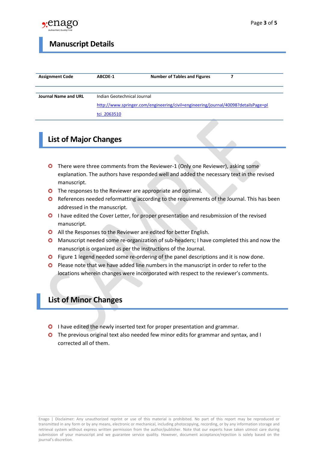

#### **Manuscript Details**

| <b>Assignment Code</b>      | ABCDE-1                                                                            | <b>Number of Tables and Figures</b> |  |  |
|-----------------------------|------------------------------------------------------------------------------------|-------------------------------------|--|--|
|                             |                                                                                    |                                     |  |  |
| <b>Journal Name and URL</b> | Indian Geotechnical Journal                                                        |                                     |  |  |
|                             | http://www.springer.com/engineering/civil+engineering/journal/40098?detailsPage=pl |                                     |  |  |
|                             | tci 2063510                                                                        |                                     |  |  |

### **List of Major Changes**

- There were three comments from the Reviewer-1 (Only one Reviewer), asking some explanation. The authors have responded well and added the necessary text in the revised manuscript.
- **O** The responses to the Reviewer are appropriate and optimal.
- **O** References needed reformatting according to the requirements of the Journal. This has been addressed in the manuscript.
- **O** I have edited the Cover Letter, for proper presentation and resubmission of the revised manuscript.
- All the Responses to the Reviewer are edited for better English.
- Manuscript needed some re-organization of sub-headers; I have completed this and now the manuscript is organized as per the instructions of the Journal.
- Figure 1 legend needed some re-ordering of the panel descriptions and it is now done.
- **O** Please note that we have added line numbers in the manuscript in order to refer to the locations wherein changes were incorporated with respect to the reviewer's comments.

#### **List of Minor Changes**

- **O** I have edited the newly inserted text for proper presentation and grammar.
- The previous original text also needed few minor edits for grammar and syntax, and I corrected all of them.

Enago | Disclaimer: Any unauthorized reprint or use of this material is prohibited. No part of this report may be reproduced or transmitted in any form or by any means, electronic or mechanical, including photocopying, recording, or by any information storage and retrieval system without express written permission from the author/publisher. Note that our experts have taken utmost care during submission of your manuscript and we guarantee service quality. However, document acceptance/rejection is solely based on the journal's discretion.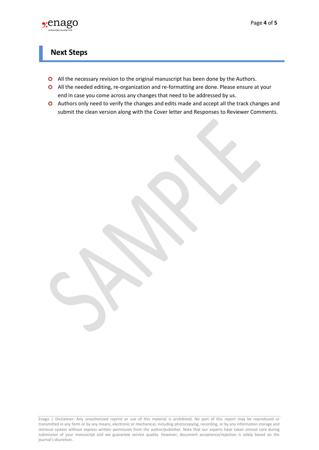

#### **Next Steps**

- **O** All the necessary revision to the original manuscript has been done by the Authors.
- All the needed editing, re-organization and re-formatting are done. Please ensure at your end in case you come across any changes that need to be addressed by us.
- Authors only need to verify the changes and edits made and accept all the track changes and submit the clean version along with the Cover letter and Responses to Reviewer Comments.

Enago | Disclaimer: Any unauthorized reprint or use of this material is prohibited. No part of this report may be reproduced or transmitted in any form or by any means, electronic or mechanical, including photocopying, recording, or by any information storage and retrieval system without express written permission from the author/publisher. Note that our experts have taken utmost care during submission of your manuscript and we guarantee service quality. However, document acceptance/rejection is solely based on the journal's discretion.